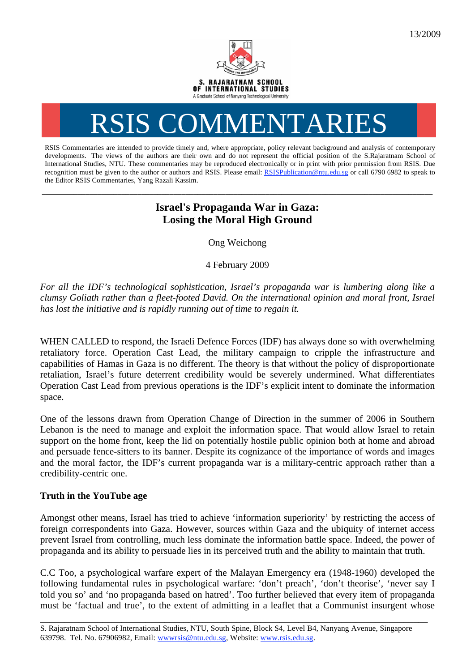

## RSIS COMMENTARIES

RSIS Commentaries are intended to provide timely and, where appropriate, policy relevant background and analysis of contemporary developments. The views of the authors are their own and do not represent the official position of the S.Rajaratnam School of International Studies, NTU. These commentaries may be reproduced electronically or in print with prior permission from RSIS. Due recognition must be given to the author or authors and RSIS. Please email: RSISPublication@ntu.edu.sg or call 6790 6982 to speak to the Editor RSIS Commentaries, Yang Razali Kassim.

## **Israel's Propaganda War in Gaza: Losing the Moral High Ground**

**\_\_\_\_\_\_\_\_\_\_\_\_\_\_\_\_\_\_\_\_\_\_\_\_\_\_\_\_\_\_\_\_\_\_\_\_\_\_\_\_\_\_\_\_\_\_\_\_\_\_\_\_\_\_\_\_\_\_\_\_\_\_\_\_\_\_\_\_\_\_\_\_\_\_\_\_\_\_\_\_\_\_\_\_\_\_\_\_\_\_\_\_\_\_\_\_\_\_** 

Ong Weichong

4 February 2009

*For all the IDF's technological sophistication, Israel's propaganda war is lumbering along like a clumsy Goliath rather than a fleet-footed David. On the international opinion and moral front, Israel has lost the initiative and is rapidly running out of time to regain it.* 

WHEN CALLED to respond, the Israeli Defence Forces (IDF) has always done so with overwhelming retaliatory force. Operation Cast Lead, the military campaign to cripple the infrastructure and capabilities of Hamas in Gaza is no different. The theory is that without the policy of disproportionate retaliation, Israel's future deterrent credibility would be severely undermined. What differentiates Operation Cast Lead from previous operations is the IDF's explicit intent to dominate the information space.

One of the lessons drawn from Operation Change of Direction in the summer of 2006 in Southern Lebanon is the need to manage and exploit the information space. That would allow Israel to retain support on the home front, keep the lid on potentially hostile public opinion both at home and abroad and persuade fence-sitters to its banner. Despite its cognizance of the importance of words and images and the moral factor, the IDF's current propaganda war is a military-centric approach rather than a credibility-centric one.

## **Truth in the YouTube age**

Amongst other means, Israel has tried to achieve 'information superiority' by restricting the access of foreign correspondents into Gaza. However, sources within Gaza and the ubiquity of internet access prevent Israel from controlling, much less dominate the information battle space. Indeed, the power of propaganda and its ability to persuade lies in its perceived truth and the ability to maintain that truth.

C.C Too, a psychological warfare expert of the Malayan Emergency era (1948-1960) developed the following fundamental rules in psychological warfare: 'don't preach', 'don't theorise', 'never say I told you so' and 'no propaganda based on hatred'. Too further believed that every item of propaganda must be 'factual and true', to the extent of admitting in a leaflet that a Communist insurgent whose

\_\_\_\_\_\_\_\_\_\_\_\_\_\_\_\_\_\_\_\_\_\_\_\_\_\_\_\_\_\_\_\_\_\_\_\_\_\_\_\_\_\_\_\_\_\_\_\_\_\_\_\_\_\_\_\_\_\_\_\_\_\_\_\_\_\_\_\_\_\_\_\_\_\_\_\_\_\_\_\_\_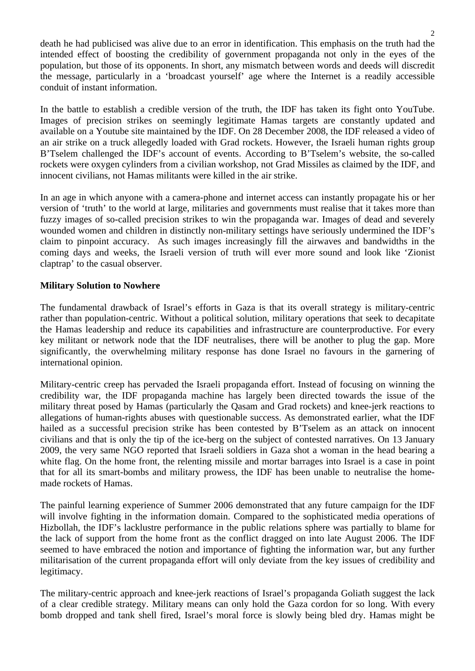death he had publicised was alive due to an error in identification. This emphasis on the truth had the intended effect of boosting the credibility of government propaganda not only in the eyes of the population, but those of its opponents. In short, any mismatch between words and deeds will discredit the message, particularly in a 'broadcast yourself' age where the Internet is a readily accessible conduit of instant information.

In the battle to establish a credible version of the truth, the IDF has taken its fight onto YouTube. Images of precision strikes on seemingly legitimate Hamas targets are constantly updated and available on a Youtube site maintained by the IDF. On 28 December 2008, the IDF released a video of an air strike on a truck allegedly loaded with Grad rockets. However, the Israeli human rights group B'Tselem challenged the IDF's account of events. According to B'Tselem's website, the so-called rockets were oxygen cylinders from a civilian workshop, not Grad Missiles as claimed by the IDF, and innocent civilians, not Hamas militants were killed in the air strike.

In an age in which anyone with a camera-phone and internet access can instantly propagate his or her version of 'truth' to the world at large, militaries and governments must realise that it takes more than fuzzy images of so-called precision strikes to win the propaganda war. Images of dead and severely wounded women and children in distinctly non-military settings have seriously undermined the IDF's claim to pinpoint accuracy. As such images increasingly fill the airwaves and bandwidths in the coming days and weeks, the Israeli version of truth will ever more sound and look like 'Zionist claptrap' to the casual observer.

## **Military Solution to Nowhere**

The fundamental drawback of Israel's efforts in Gaza is that its overall strategy is military-centric rather than population-centric. Without a political solution, military operations that seek to decapitate the Hamas leadership and reduce its capabilities and infrastructure are counterproductive. For every key militant or network node that the IDF neutralises, there will be another to plug the gap. More significantly, the overwhelming military response has done Israel no favours in the garnering of international opinion.

Military-centric creep has pervaded the Israeli propaganda effort. Instead of focusing on winning the credibility war, the IDF propaganda machine has largely been directed towards the issue of the military threat posed by Hamas (particularly the Qasam and Grad rockets) and knee-jerk reactions to allegations of human-rights abuses with questionable success. As demonstrated earlier, what the IDF hailed as a successful precision strike has been contested by B'Tselem as an attack on innocent civilians and that is only the tip of the ice-berg on the subject of contested narratives. On 13 January 2009, the very same NGO reported that Israeli soldiers in Gaza shot a woman in the head bearing a white flag. On the home front, the relenting missile and mortar barrages into Israel is a case in point that for all its smart-bombs and military prowess, the IDF has been unable to neutralise the homemade rockets of Hamas.

The painful learning experience of Summer 2006 demonstrated that any future campaign for the IDF will involve fighting in the information domain. Compared to the sophisticated media operations of Hizbollah, the IDF's lacklustre performance in the public relations sphere was partially to blame for the lack of support from the home front as the conflict dragged on into late August 2006. The IDF seemed to have embraced the notion and importance of fighting the information war, but any further militarisation of the current propaganda effort will only deviate from the key issues of credibility and legitimacy.

The military-centric approach and knee-jerk reactions of Israel's propaganda Goliath suggest the lack of a clear credible strategy. Military means can only hold the Gaza cordon for so long. With every bomb dropped and tank shell fired, Israel's moral force is slowly being bled dry. Hamas might be